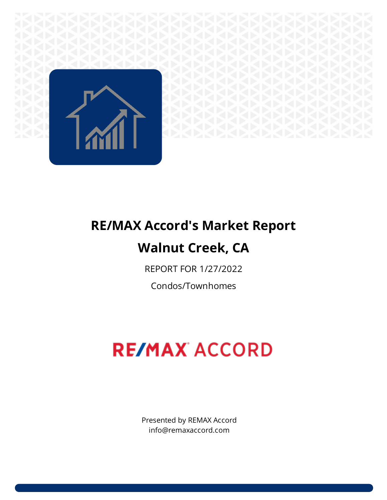

## **RE/MAX Accord's Market Report Walnut Creek, CA**

## REPORT FOR 1/27/2022

Condos/Townhomes

# **RE/MAX ACCORD**

Presented by REMAX Accord info@remaxaccord.com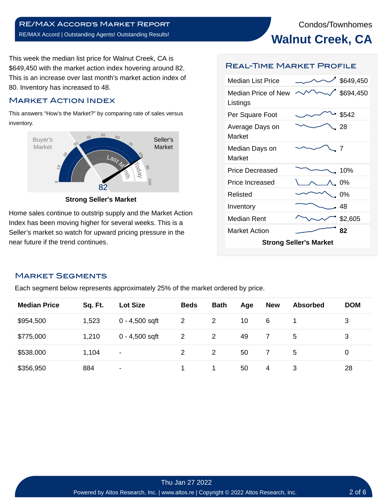### **Walnut Creek, CA**

This week the median list price for Walnut Creek, CA is \$649,450 with the market action index hovering around 82. This is an increase over last month's market action index of 80. Inventory has increased to 48.

#### Market Action Index

This answers "How's the Market?" by comparing rate of sales versus inventory.



**Strong Seller's Market**

Home sales continue to outstrip supply and the Market Action Index has been moving higher for several weeks. This is a Seller's market so watch for upward pricing pressure in the near future if the trend continues.

#### Real-Time Market Profile

| <b>Median List Price</b>        |  | \$649,450 |  |  |  |  |  |
|---------------------------------|--|-----------|--|--|--|--|--|
| Median Price of New<br>Listings |  | \$694,450 |  |  |  |  |  |
| Per Square Foot                 |  | \$542     |  |  |  |  |  |
| Average Days on<br>Market       |  | 28        |  |  |  |  |  |
| Median Days on<br>Market        |  | 7         |  |  |  |  |  |
| <b>Price Decreased</b>          |  | 10%       |  |  |  |  |  |
| Price Increased                 |  | $0\%$     |  |  |  |  |  |
| Relisted                        |  | 0%        |  |  |  |  |  |
| Inventory                       |  | 48        |  |  |  |  |  |
| Median Rent                     |  | \$2,605   |  |  |  |  |  |
| <b>Market Action</b>            |  | 82        |  |  |  |  |  |
| <b>Strong Seller's Market</b>   |  |           |  |  |  |  |  |

#### Market Segments

Each segment below represents approximately 25% of the market ordered by price.

| <b>Median Price</b> | Sq. Ft. | <b>Lot Size</b>          | <b>Beds</b>           | <b>Bath</b> | Age | <b>New</b> | <b>Absorbed</b> | <b>DOM</b> |
|---------------------|---------|--------------------------|-----------------------|-------------|-----|------------|-----------------|------------|
| \$954,500           | 1,523   | $0 - 4,500$ sqft         | 2                     |             | 10  | 6          |                 | 3          |
| \$775,000           | 1,210   | $0 - 4,500$ sqft         | $\mathbf{2}^{\prime}$ | 2           | 49  |            | 5               | 3          |
| \$538,000           | 1,104   | $\overline{\phantom{a}}$ |                       | 2           | 50  |            | 5               | 0          |
| \$356,950           | 884     | -                        |                       |             | 50  | 4          | 3               | 28         |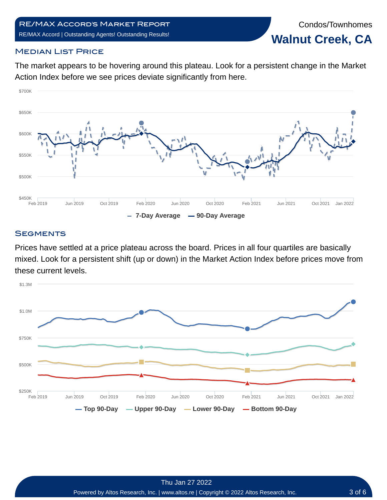Condos/Townhomes **Walnut Creek, CA**

#### **MEDIAN LIST PRICE**

The market appears to be hovering around this plateau. Look for a persistent change in the Market Action Index before we see prices deviate significantly from here.



#### **SEGMENTS**

Prices have settled at a price plateau across the board. Prices in all four quartiles are basically mixed. Look for a persistent shift (up or down) in the Market Action Index before prices move from these current levels.

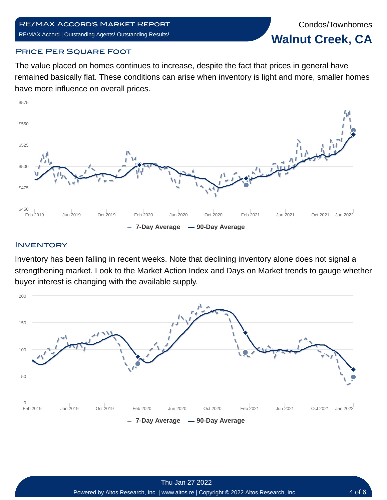Condos/Townhomes **Walnut Creek, CA**

#### **PRICE PER SQUARE FOOT**

The value placed on homes continues to increase, despite the fact that prices in general have remained basically flat. These conditions can arise when inventory is light and more, smaller homes have more influence on overall prices.



#### **INVENTORY**

Inventory has been falling in recent weeks. Note that declining inventory alone does not signal a strengthening market. Look to the Market Action Index and Days on Market trends to gauge whether buyer interest is changing with the available supply.

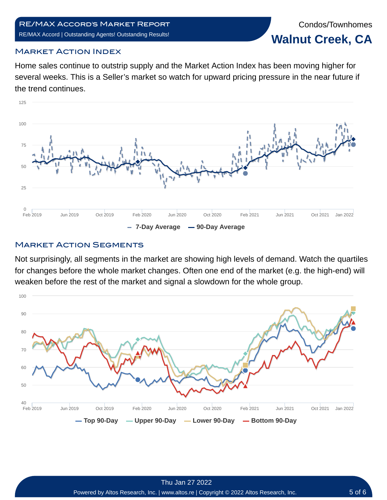Condos/Townhomes **Walnut Creek, CA**

#### Market Action Index

Home sales continue to outstrip supply and the Market Action Index has been moving higher for several weeks. This is a Seller's market so watch for upward pricing pressure in the near future if the trend continues.



#### **MARKET ACTION SEGMENTS**

Not surprisingly, all segments in the market are showing high levels of demand. Watch the quartiles for changes before the whole market changes. Often one end of the market (e.g. the high-end) will weaken before the rest of the market and signal a slowdown for the whole group.